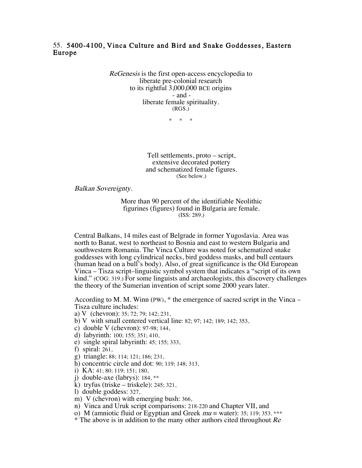## 55. 5400-4100, Vinca Culture and Bird and Snake Goddesses, Eastern Europe

ReGenesis is the first open-access encyclopedia to liberate pre-colonial research to its rightful 3,000,000 BCE origins - and liberate female spirituality. (RGS.)

\* \* \*

Tell settlements, proto – script, extensive decorated pottery and schematized female figures. (See below.)

Balkan Sovereignty.

More than 90 percent of the identifiable Neolithic figurines (figures) found in Bulgaria are female. (ISS: 289.)

Central Balkans, 14 miles east of Belgrade in former Yugoslavia. Area was north to Banat, west to northeast to Bosnia and east to western Bulgaria and southwestern Romania. The Vinca Culture was noted for schematized snake goddesses with long cylindrical necks, bird goddess masks, and bull centaurs (human head on a bull's body). Also, of great significance is the Old European Vinca – Tisza script–linguistic symbol system that indicates a "script of its own kind." (COG: 319.) For some linguists and archaeologists, this discovery challenges the theory of the Sumerian invention of script some 2000 years later.

According to M. M. Winn (PW),  $*$  the emergence of sacred script in the Vinca – Tisza culture includes:

- a) V (chevron): 35; 72; 79; 142; 231,
- b) V with small centered vertical line: 82; 97; 142; 189; 142; 353,
- c) double V (chevron): 97-98; 144,
- d) labyrinth: 100; 155; 351; 410,
- e) single spiral labyrinth: 45; 155; 333,
- f) spiral: 261,
- g) triangle: 88; 114; 121; 186; 231,
- h) concentric circle and dot: 90; 119; 148; 313,
- i) KA: 41; 80; 119; 151; 180,
- j) double-axe (labrys): 184, \*\*
- k) tryfus (triske triskele): 245; 321,
- l) double goddess: 327,
- m) V (chevron) with emerging bush: 366,
- n) Vinca and Uruk script comparisons: 218-220 and Chapter VII, and
- o) M (amniotic fluid or Egyptian and Greek  $mu = water$ ): 35; 119; 353. \*\*\*
- \* The above is in addition to the many other authors cited throughout Re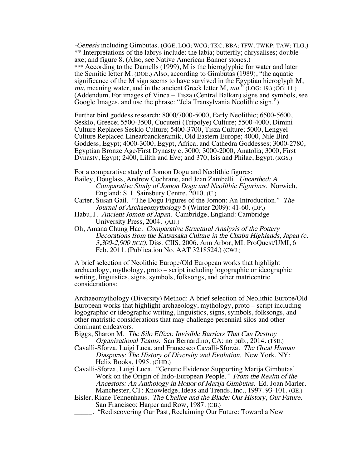-Genesis including Gimbutas. (GGE; LOG; WCG; TKC; BBA; TFW; TWKP; TAW; TLG.) \*\* Interpretations of the labrys include: the labia; butterfly; chrysalises; doubleaxe; and figure 8. (Also, see Native American Banner stones.) \*\*\* According to the Darnells (1999), M is the hieroglyphic for water and later the Semitic letter M. (DOE.) Also, according to Gimbutas (1989), "the aquatic significance of the M sign seems to have survived in the Egyptian hieroglyph M, mu, meaning water, and in the ancient Greek letter M, mu." (LOG: 19.) (OG: 11.) (Addendum. For images of Vinca – Tisza (Central Balkan) signs and symbols, see Google Images, and use the phrase: "Jela Transylvania Neolithic sign.")

Further bird goddess research: 8000/7000-5000, Early Neolithic; 6500-5600, Sesklo, Greece; 5500-3500, Cucuteni (Tripolye) Culture; 5500-4000, Dimini Culture Replaces Sesklo Culture; 5400-3700, Tisza Culture; 5000, Lengyel Culture Replaced Linearbandkeramik, Old Eastern Europe; 4000, Nile Bird Goddess, Egypt; 4000-3000, Egypt, Africa, and Cathedra Goddesses; 3000-2780, Egyptian Bronze Age/First Dynasty c. 3000; 3000-2000, Anatolia; 3000, First Dynasty, Egypt; 2400, Lilith and Eve; and 370, Isis and Philae, Egypt. (RGS.)

For a comparative study of Jomon Dogu and Neolithic figures:

- Bailey, Douglass, Andrew Cochrane, and Jean Zambelli. Unearthed: A Comparative Study of Jomon Dogu and Neolithic Figurines. Norwich, England: S. I. Sainsbury Centre, 2010. (U.)
- Carter, Susan Gail. "The Dogu Figures of the Jomon: An Introduction." The Journal of Archaeomythology 5 (Winter 2009): 41-60. (DF.)
- Habu, J. Ancient Jomon of Japan. Cambridge, England: Cambridge University Press, 2004. (AJJ.)
- Oh, Amana Chung Hae. Comparative Structural Analysis of the Pottery Decorations from the Katsusaka Culture in the Chubu Highlands, Japan (c. 3,300-2,900 BCE). Diss. CIIS, 2006. Ann Arbor, MI: ProQuest/UMI, 6 Feb. 2011. (Publication No. AAT 3218524.) (CWJ.)

A brief selection of Neolithic Europe/Old European works that highlight archaeology, mythology, proto – script including logographic or ideographic writing, linguistics, signs, symbols, folksongs, and other matricentric considerations:

Archaeomythology (Diversity) Method: A brief selection of Neolithic Europe/Old European works that highlight archaeology, mythology, proto – script including logographic or ideographic writing, linguistics, signs, symbols, folksongs, and other matristic considerations that may challenge perennial silos and other dominant endeavors.

Biggs, Sharon M. The Silo Effect: Invisible Barriers That Can Destroy Organizational Teams. San Bernardino, CA: no pub., 2014. (TSE.)

Cavalli-Sforza, Luigi Luca, and Francesco Cavalli-Sforza. The Great Human Diasporas: The History of Diversity and Evolution. New York, NY: Helix Books, 1995. (GHD.)

Cavalli-Sforza, Luigi Luca. "Genetic Evidence Supporting Marija Gimbutas' Work on the Origin of Indo-European People." From the Realm of the Ancestors: An Anthology in Honor of Marija Gimbutas. Ed. Joan Marler. Manchester, CT: Knowledge, Ideas and Trends, Inc., 1997. 93-101. (GE.)

Eisler, Riane Tennenhaus. The Chalice and the Blade: Our History, Our Future. San Francisco: Harper and Row, 1987. (CB.)

. "Rediscovering Our Past, Reclaiming Our Future: Toward a New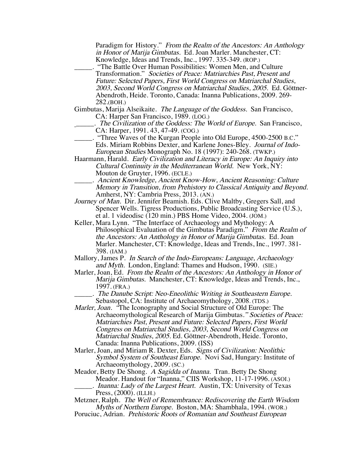Paradigm for History." From the Realm of the Ancestors: An Anthology in Honor of Marija Gimbutas. Ed. Joan Marler. Manchester, CT: Knowledge, Ideas and Trends, Inc., 1997. 335-349. (ROP.) \_\_\_\_\_. "The Battle Over Human Possibilities: Women Men, and Culture Transformation." Societies of Peace: Matriarchies Past, Present and Future: Selected Papers, First World Congress on Matriarchal Studies, 2003, Second World Congress on Matriarchal Studies, 2005. Ed. Göttner-Abendroth, Heide. Toronto, Canada: Inanna Publications, 2009. 269- 282.(BOH.) Gimbutas, Marija Alseikaite. The Language of the Goddess. San Francisco, CA: Harper San Francisco, 1989. (LOG.) . The Civilization of the Goddess: The World of Europe. San Francisco, CA: Harper, 1991. 43, 47-49. (COG.) \_\_\_\_\_. "Three Waves of the Kurgan People into Old Europe, 4500-2500 B.C." Eds. Miriam Robbins Dexter, and Karlene Jones-Bley. Journal of Indo-European Studies Monograph No. 18 (1997): 240-268. (TWKP.) Haarmann, Harald. Early Civilization and Literacy in Europe: An Inquiry into Cultural Continuity in the Mediterranean World. New York, NY: Mouton de Gruyter, 1996. (ECLE.) \_\_\_\_\_. Ancient Knowledge, Ancient Know-How, Ancient Reasoning: Culture Memory in Transition, from Prehistory to Classical Antiquity and Beyond. Amherst, NY: Cambria Press, 2013. (AN.) Journey of Man. Dir. Jennifer Beamish. Eds. Clive Maltby, Gregers Sall, and Spencer Wells. Tigress Productions, Public Broadcasting Service (U.S.), et al. 1 videodisc (120 min.) PBS Home Video, 2004. (JOM.) Keller, Mara Lynn. "The Interface of Archaeology and Mythology: A Philosophical Evaluation of the Gimbutas Paradigm." From the Realm of the Ancestors: An Anthology in Honor of Marija Gimbutas. Ed. Joan Marler. Manchester, CT: Knowledge, Ideas and Trends, Inc., 1997. 381- 398. (IAM.) Mallory, James P. In Search of the Indo-Europeans: Language, Archaeology and Myth. London, England: Thames and Hudson, 1990. (SIE.) Marler, Joan, Ed. From the Realm of the Ancestors: An Anthology in Honor of Marija Gimbutas. Manchester, CT: Knowledge, Ideas and Trends, Inc., 1997. (FRA.) . The Danube Script: Neo-Eneolithic Writing in Southeastern Europe. Sebastopol, CA: Institute of Archaeomythology, 2008. (TDS.) Marler, Joan. "The Iconography and Social Structure of Old Europe: The Archaeomythological Research of Marija Gimbutas." Societies of Peace: Matriarchies Past, Present and Future: Selected Papers, First World Congress on Matriarchal Studies, 2003, Second World Congress on Matriarchal Studies, 2005. Ed. Göttner-Abendroth, Heide. Toronto, Canada: Inanna Publications, 2009. (ISS)

Marler, Joan, and Miriam R. Dexter, Eds. Signs of Civilization: Neolithic Symbol System of Southeast Europe. Novi Sad, Hungary: Institute of Archaeomythology, 2009. (SC.)

Meador, Betty De Shong. A Sagidda of Inanna. Tran. Betty De Shong Meador. Handout for "Inanna," CIIS Workshop, 11-17-1996. (ASOI.) Inanna: Lady of the Largest Heart. Austin, TX: University of Texas Press, (2000). (ILLH.)

Metzner, Ralph. The Well of Remembrance: Rediscovering the Earth Wisdom Myths of Northern Europe. Boston, MA: Shambhala, 1994. (WOR.)

Poruciuc, Adrian. Prehistoric Roots of Romanian and Southeast European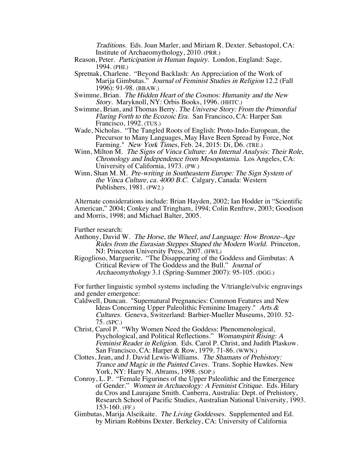Traditions. Eds. Joan Marler, and Miriam R. Dexter. Sebastopol, CA: Institute of Archaeomythology, 2010. (PRR.)

- Reason, Peter. Participation in Human Inquiry. London, England: Sage, 1994. (PHI.)
- Spretnak, Charlene. "Beyond Backlash: An Appreciation of the Work of Marija Gimbutas." Journal of Feminist Studies in Religion 12.2 (Fall 1996): 91-98. (BBAW.)
- Swimme, Brian. The Hidden Heart of the Cosmos: Humanity and the New Story. Maryknoll, NY: Orbis Books, 1996. (HHTC.)
- Swimme, Brian, and Thomas Berry. The Universe Story: From the Primordial Flaring Forth to the Ecozoic Era. San Francisco, CA: Harper San Francisco, 1992. (TUS.)
- Wade, Nicholas. "The Tangled Roots of English: Proto-Indo-European, the Precursor to Many Languages, May Have Been Spread by Force, Not Farming." *New York Times*, Feb. 24, 2015: Di, D6. (TRE.)
- Winn, Milton M. The Signs of Vinca Culture: An Internal Analysis: Their Role, Chronology and Independence from Mesopotamia. Los Angeles, CA: University of California, 1973. (PW.)
- Winn, Shan M. M. Pre-writing in Southeastern Europe: The Sign System of the Vinca Culture, ca. 4000 B.C. Calgary, Canada: Western Publishers, 1981. (PW2.)

Alternate considerations include: Brian Hayden, 2002; Ian Hodder in "Scientific American," 2004; Conkey and Tringham, 1994; Colin Renfrew, 2003; Goodison and Morris, 1998; and Michael Balter, 2005.

Further research:

- Anthony, David W. The Horse, the Wheel, and Language: How Bronze-Age Rides from the Eurasian Steppes Shaped the Modern World. Princeton, NJ: Princeton University Press, 2007. (HWL)
- Rigoglioso, Marguerite. "The Disappearing of the Goddess and Gimbutas: A Critical Review of The Goddess and the Bull." Journal of Archaeomythology 3.1 (Spring-Summer 2007): 95-105. (DGG.)

For further linguistic symbol systems including the V/triangle/vulvic engravings and gender emergence:

- Caldwell, Duncan. "Supernatural Pregnancies: Common Features and New Ideas Concerning Upper Paleolithic Feminine Imagery." Arts & Cultures. Geneva, Switzerland: Barbier-Mueller Museums, 2010. 52- 75. (SPC.)
- Christ, Carol P. "Why Women Need the Goddess: Phenomenological, Psychological, and Political Reflections." Womanspirit Rising: A Feminist Reader in Religion. Eds. Carol P. Christ, and Judith Plaskow. San Francisco, CA: Harper & Row, 1979. 71-86. (WWN.)
- Clottes, Jean, and J. David Lewis-Williams. The Shamans of Prehistory: Trance and Magic in the Painted Caves. Trans. Sophie Hawkes. New York, NY: Harry N. Abrams, 1998. (SOP.)
- Conroy, L. P. "Female Figurines of the Upper Paleolithic and the Emergence of Gender." Women in Archaeology: A Feminist Critique. Eds. Hilary du Cros and Laurajane Smith. Canberra, Australia: Dept. of Prehistory, Research School of Pacific Studies, Australian National University, 1993. 153-160. (FF.)
- Gimbutas, Marija Alseikaite. The Living Goddesses. Supplemented and Ed. by Miriam Robbins Dexter. Berkeley, CA: University of California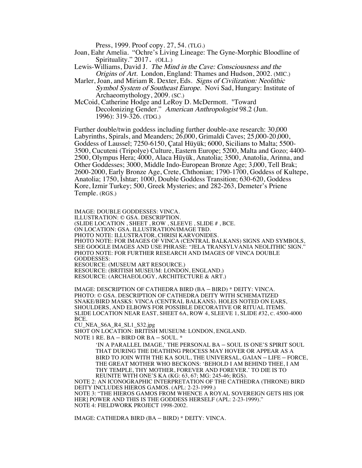Press, 1999. Proof copy. 27, 54. (TLG.)

- Joan, Eahr Amelia. "Ochre's Living Lineage: The Gyne-Morphic Bloodline of Spirituality." 2017. (OLL.)
- Lewis-Williams, David J. The Mind in the Cave: Consciousness and the Origins of Art. London, England: Thames and Hudson, 2002. (MIC.)
- Marler, Joan, and Miriam R. Dexter, Eds. Signs of Civilization: Neolithic Symbol System of Southeast Europe. Novi Sad, Hungary: Institute of Archaeomythology, 2009. (SC.)
- McCoid, Catherine Hodge and LeRoy D. McDermott. "Toward Decolonizing Gender." American Anthropologist 98.2 (Jun. 1996): 319-326. (TDG.)

Further double/twin goddess including further double-axe research: 30,000 Labyrinths, Spirals, and Meanders; 26,000, Grimaldi Caves; 25,000-20,000, Goddess of Laussel; 7250-6150, Çatal Hüyük; 6000, Sicilians to Malta; 5500- 3500, Cucuteni (Tripolye) Culture, Eastern Europe; 5200, Malta and Gozo; 4400- 2500, Olympus Hera; 4000, Alaca Hüyük, Anatolia; 3500, Anatolia, Arinna, and Other Goddesses; 3000, Middle Indo-European Bronze Age; 3,000, Tell Brak; 2600-2000, Early Bronze Age, Crete, Chthonian; 1790-1700, Goddess of Kultepe, Anatolia; 1750, Ishtar; 1000, Double Goddess Transition; 630-620, Goddess Kore, Izmir Turkey; 500, Greek Mysteries; and 282-263, Demeter's Priene Temple. (RGS.)

IMAGE: DOUBLE GODDESSES: VINCA. ILLUSTRATION: © GSA. DESCRIPTION. (SLIDE LOCATION , SHEET , ROW , SLEEVE , SLIDE # , BCE. ON LOCATION: GSA. ILLUSTRATION/IMAGE TBD. PHOTO NOTE: ILLUSTRATOR, CHRISI KARVONIDES. PHOTO NOTE: FOR IMAGES OF VINCA (CENTRAL BALKANS) SIGNS AND SYMBOLS, SEE GOOGLE IMAGES AND USE PHRASE: "JELA TRANSYLVANIA NEOLITHIC SIGN." PHOTO NOTE: FOR FURTHER RESEARCH AND IMAGES OF VINCA DOUBLE GODDESSES: RESOURCE: (MUSEUM ART RESOURCE.) RESOURCE: (BRITISH MUSEUM: LONDON, ENGLAND.) RESOURCE: (ARCHAEOLOGY, ARCHITECTURE & ART.)

IMAGE: DESCRIPTION OF CATHEDRA BIRD (BA – BIRD) \* DEITY: VINCA. PHOTO: © GSA. DESCRIPTION OF CATHEDRA DEITY WITH SCHEMATIZED SNAKE/BIRD MASKS: VINCA (CENTRAL BALKANS). HOLES NOTED ON EARS, SHOULDERS, AND ELBOWS FOR POSSIBLE DECORATIVE OR RITUAL ITEMS. SLIDE LOCATION NEAR EAST, SHEET 6A, ROW 4, SLEEVE 1, SLIDE #32, C. 4500-4000 BCE.

CU\_NEA\_S6A\_R4\_SL1\_S32.jpg

SHOT ON LOCATION: BRITISH MUSEUM: LONDON, ENGLAND.

NOTE 1 RE. BA – BIRD OR BA – SOUL. \*

'IN A PARALLEL IMAGE,' THE PERSONAL BA – SOUL IS ONE'S SPIRIT SOUL THAT DURING THE DEATHING PROCESS MAY HOVER OR APPEAR AS A BIRD TO JOIN WITH THE KA SOUL, THE UNIVERSAL, GAIAN – LIFE – FORCE, THE GREAT MOTHER WHO BECKONS: 'BEHOLD I AM BEHIND THEE, I AM THY TEMPLE, THY MOTHER, FOREVER AND FOREVER.' TO DIE IS TO REUNITE WITH ONE'S KA (KG: 63, 67; MG: 245-46; RGS).

NOTE 2: AN ICONOGRAPHIC INTERPRETATION OF THE CATHEDRA (THRONE) BIRD DEITY INCLUDES HIEROS GAMOS. (APL: 2-23-1999.) NOTE 3: "THE HIEROS GAMOS FROM WHENCE A ROYAL SOVEREIGN GETS HIS [OR HER] POWER AND THIS IS THE GODDESS HERSELF (APL: 2-23-1999)." NOTE 4: FIELDWORK PROJECT 1998-2002.

IMAGE: CATHEDRA BIRD (BA – BIRD) \* DEITY: VINCA.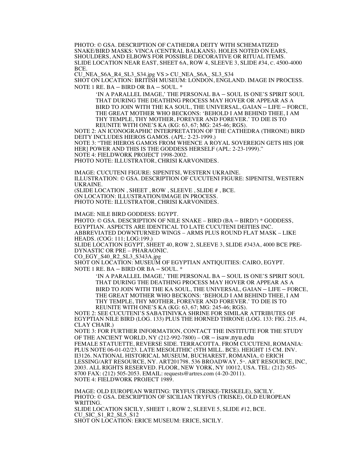PHOTO: © GSA. DESCRIPTION OF CATHEDRA DEITY WITH SCHEMATIZED SNAKE/BIRD MASKS: VINCA (CENTRAL BALKANS). HOLES NOTED ON EARS, SHOULDERS, AND ELBOWS FOR POSSIBLE DECORATIVE OR RITUAL ITEMS. SLIDE LOCATION NEAR EAST, SHEET 6A, ROW 4, SLEEVE 3, SLIDE #34, C. 4500-4000 BCE.

CU\_NEA\_S6A\_R4\_SL3\_S34.jpg VS > CU\_NEA\_S6A\_ SL3\_S34 SHOT ON LOCATION: BRITISH MUSEUM: LONDON, ENGLAND. IMAGE IN PROCESS. NOTE 1 RE. BA – BIRD OR BA – SOUL. \*

'IN A PARALLEL IMAGE,' THE PERSONAL BA – SOUL IS ONE'S SPIRIT SOUL THAT DURING THE DEATHING PROCESS MAY HOVER OR APPEAR AS A BIRD TO JOIN WITH THE KA SOUL, THE UNIVERSAL, GAIAN – LIFE – FORCE, THE GREAT MOTHER WHO BECKONS: 'BEHOLD I AM BEHIND THEE, I AM THY TEMPLE, THY MOTHER, FOREVER AND FOREVER.' TO DIE IS TO REUNITE WITH ONE'S KA (KG: 63, 67; MG: 245-46; RGS).

NOTE 2: AN ICONOGRAPHIC INTERPRETATION OF THE CATHEDRA (THRONE) BIRD DEITY INCLUDES HIEROS GAMOS. (APL: 2-23-1999.) NOTE 3: "THE HIEROS GAMOS FROM WHENCE A ROYAL SOVEREIGN GETS HIS [OR HER] POWER AND THIS IS THE GODDESS HERSELF (APL: 2-23-1999)." NOTE 4: FIELDWORK PROJECT 1998-2002. PHOTO NOTE: ILLUSTRATOR, CHRISI KARVONIDES.

IMAGE: CUCUTENI FIGURE: SIPENITSI, WESTERN UKRAINE. ILLUSTRATION: © GSA. DESCRIPTION OF CUCUTENI FIGURE: SIPENITSI, WESTERN UKRAINE. (SLIDE LOCATION , SHEET , ROW , SLEEVE , SLIDE # , BCE. ON LOCATION: ILLUSTRATION/IMAGE IN PROCESS.

PHOTO NOTE: ILLUSTRATOR, CHRISI KARVONIDES.

IMAGE: NILE BIRD GODDESS: EGYPT.

PHOTO: © GSA. DESCRIPTION OF NILE SNAKE – BIRD (BA – BIRD?) \* GODDESS, EGYPTIAN. ASPECTS ARE IDENTICAL TO LATE CUCUTENI DEITIES INC. ABBREVIATED DOWNTURNED WINGS – ARMS PLUS ROUND FLAT MASK – LIKE HEADS. (COG: 111; LOG:199.)

SLIDE LOCATION EGYPT, SHEET 40, ROW 2, SLEEVE 3, SLIDE #343A, 4000 BCE PRE-DYNASTIC OR PRE – PHARAONIC.

CO\_EGY\_S40\_R2\_SL3\_S343A.jpg

SHOT ON LOCATION: MUSEUM OF EGYPTIAN ANTIQUITIES: CAIRO, EGYPT.

NOTE 1 RE. BA – BIRD OR BA – SOUL. \*

'IN A PARALLEL IMAGE,' THE PERSONAL BA – SOUL IS ONE'S SPIRIT SOUL THAT DURING THE DEATHING PROCESS MAY HOVER OR APPEAR AS A BIRD TO JOIN WITH THE KA SOUL, THE UNIVERSAL, GAIAN – LIFE – FORCE, THE GREAT MOTHER WHO BECKONS: 'BEHOLD I AM BEHIND THEE, I AM THY TEMPLE, THY MOTHER, FOREVER AND FOREVER.' TO DIE IS TO REUNITE WITH ONE'S KA (KG: 63, 67; MG: 245-46; RGS).

NOTE 2: SEE CUCUTENI'S SABATINIVKA SHRINE FOR SIMILAR ATTRIBUTES OF EGYPTIAN NILE BIRD (LOG. 133) PLUS THE HORNED THRONE (LOG. 133: FIG. 215. #4, CLAY CHAIR.)

NOTE 3: FOR FURTHER INFORMATION, CONTACT THE INSTITUTE FOR THE STUDY OF THE ANCIENT WORLD, NY (212-992-7800) – OR – isaw.nyu.edu FEMALE STATUETTE, REVERSE SIDE. TERRACOTTA. FROM CUCUTENI, ROMANIA: PLUS NOTE 06-01-02/23. LATE MESOLITHIC (5TH MILL. BCE). HEIGHT 15 CM. INV. II3126. NATIONAL HISTORICAL MUSEUM, BUCHAREST, ROMANIA, © ERICH LESSING/ART RESOURCE, NY. ART201798. 536 BROADWAY, 5<sup>th</sup>. ART RESOURCE, INC, 2003. ALL RIGHTS RESERVED. FLOOR, NEW YORK, NY 10012, USA. TEL: (212) 505- 8700 FAX: (212) 505-2053. EMAIL: requests@artres.com (4-20-2011). NOTE 4: FIELDWORK PROJECT 1989.

IMAGE: OLD EUROPEAN WRITING: TRYFUS (TRISKE-TRISKELE), SICILY. PHOTO: © GSA. DESCRIPTION OF SICILIAN TRYFUS (TRISKE), OLD EUROPEAN WRITING.

SLIDE LOCATION SICILY, SHEET 1, ROW 2, SLEEVE 5, SLIDE #12, BCE. CU\_SIC\_S1\_R2\_SL5\_S12

SHOT ON LOCATION: ERICE MUSEUM: ERICE, SICILY.